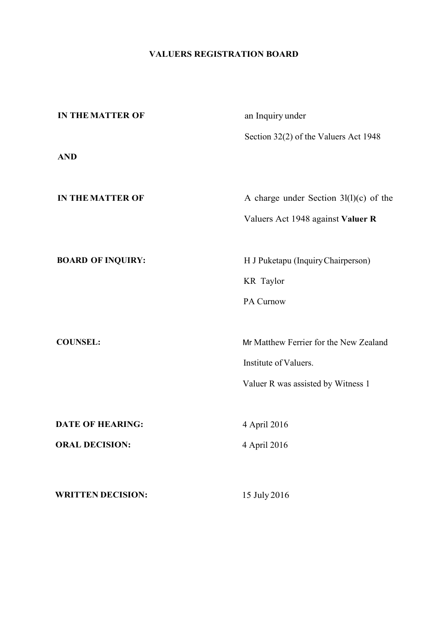# **VALUERS REGISTRATION BOARD**

| <b>IN THE MATTER OF</b>  | an Inquiry under                         |  |
|--------------------------|------------------------------------------|--|
|                          | Section 32(2) of the Valuers Act 1948    |  |
| <b>AND</b>               |                                          |  |
|                          |                                          |  |
| <b>IN THE MATTER OF</b>  | A charge under Section $3l(1)(c)$ of the |  |
|                          | Valuers Act 1948 against Valuer R        |  |
|                          |                                          |  |
| <b>BOARD OF INQUIRY:</b> | H J Puketapu (Inquiry Chairperson)       |  |
|                          | KR Taylor                                |  |
|                          | PA Curnow                                |  |
|                          |                                          |  |
| <b>COUNSEL:</b>          | Mr Matthew Ferrier for the New Zealand   |  |
|                          | Institute of Valuers.                    |  |
|                          | Valuer R was assisted by Witness 1       |  |
|                          |                                          |  |
| <b>DATE OF HEARING:</b>  | 4 April 2016                             |  |
| <b>ORAL DECISION:</b>    | 4 April 2016                             |  |
|                          |                                          |  |
| <b>WRITTEN DECISION:</b> | 15 July 2016                             |  |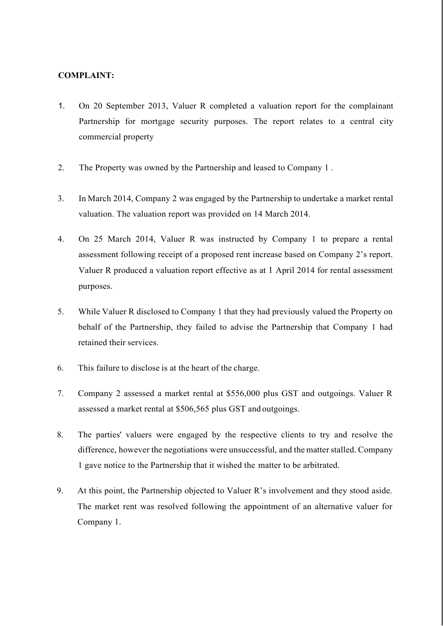## **COMPLAINT:**

- 1. On 20 September 2013, Valuer R completed a valuation report for the complainant Partnership for mortgage security purposes. The report relates to a central city commercial property
- 2. The Property was owned by the Partnership and leased to Company 1 .
- 3. In March 2014, Company 2 was engaged by the Partnership to undertake a market rental valuation. The valuation report was provided on 14 March 2014.
- 4. On 25 March 2014, Valuer R was instructed by Company 1 to prepare a rental assessment following receipt of a proposed rent increase based on Company 2's report. Valuer R produced a valuation report effective as at 1 April 2014 for rental assessment purposes.
- 5. While Valuer R disclosed to Company 1 that they had previously valued the Property on behalf of the Partnership, they failed to advise the Partnership that Company 1 had retained their services.
- 6. This failure to disclose is at the heart of the charge.
- 7. Company 2 assessed a market rental at \$556,000 plus GST and outgoings. Valuer R assessed a market rental at \$506,565 plus GST and outgoings.
- 8. The parties' valuers were engaged by the respective clients to try and resolve the difference, however the negotiations were unsuccessful, and the matter stalled. Company 1 gave notice to the Partnership that it wished the matter to be arbitrated.
- 9. At this point, the Partnership objected to Valuer R's involvement and they stood aside. The market rent was resolved following the appointment of an alternative valuer for Company 1.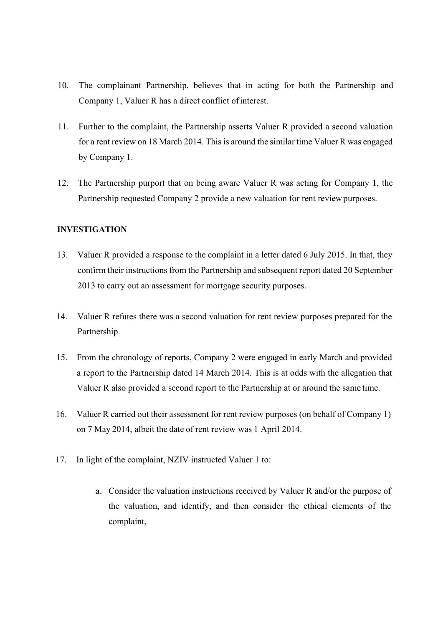- 10. The complainant Partnership, believes that in acting for both the Partnership and Company 1, Valuer R has a direct conflict ofinterest.
- 11. Further to the complaint, the Partnership asserts Valuer R provided a second valuation for a rent review on 18 March 2014. This is around the similar time Valuer R was engaged by Company 1.
- 12. The Partnership purport that on being aware Valuer R was acting for Company 1, the Partnership requested Company 2 provide a new valuation for rent review purposes.

## **INVESTIGATION**

- 13. Valuer R provided a response to the complaint in a letter dated 6 July 2015. In that, they confirm their instructions from the Partnership and subsequent report dated 20 September 2013 to carry out an assessment for mortgage security purposes.
- 14. Valuer R refutes there was a second valuation for rent review purposes prepared for the Partnership.
- 15. From the chronology of reports, Company 2 were engaged in early March and provided a report to the Partnership dated 14 March 2014. This is at odds with the allegation that Valuer R also provided a second report to the Partnership at or around the same time.
- 16. Valuer R carried out their assessment for rent review purposes (on behalf of Company 1) on 7 May 2014, albeit the date of rent review was 1 April 2014.
- 17. In light of the complaint, NZIV instructed Valuer 1 to:
	- a. Consider the valuation instructions received by Valuer R and/or the purpose of the valuation, and identify, and then consider the ethical elements of the complaint,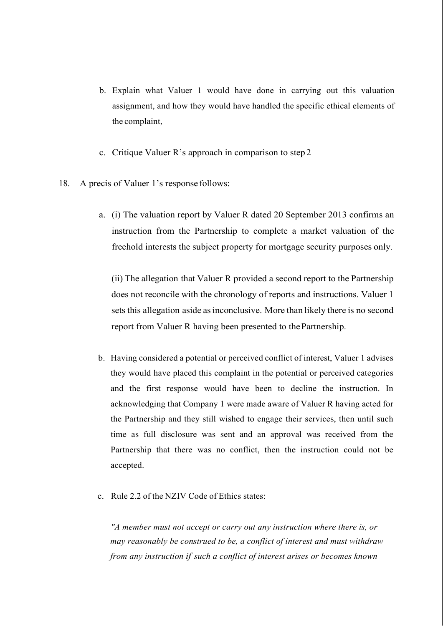- b. Explain what Valuer 1 would have done in carrying out this valuation assignment, and how they would have handled the specific ethical elements of the complaint,
- c. Critique Valuer R's approach in comparison to step 2
- 18. A precis of Valuer 1's response follows:
	- a. (i) The valuation report by Valuer R dated 20 September 2013 confirms an instruction from the Partnership to complete a market valuation of the freehold interests the subject property for mortgage security purposes only.

(ii) The allegation that Valuer R provided a second report to the Partnership does not reconcile with the chronology of reports and instructions. Valuer 1 sets this allegation aside asinconclusive. More than likely there is no second report from Valuer R having been presented to thePartnership.

- b. Having considered a potential or perceived conflict of interest, Valuer 1 advises they would have placed this complaint in the potential or perceived categories and the first response would have been to decline the instruction. In acknowledging that Company 1 were made aware of Valuer R having acted for the Partnership and they still wished to engage their services, then until such time as full disclosure was sent and an approval was received from the Partnership that there was no conflict, then the instruction could not be accepted.
- c. Rule 2.2 of the NZIV Code of Ethics states:

*"A member must not accept or carry out any instruction where there is, or may reasonably be construed to be, a conflict of interest and must withdraw from any instruction if such a conflict of interest arises or becomes known*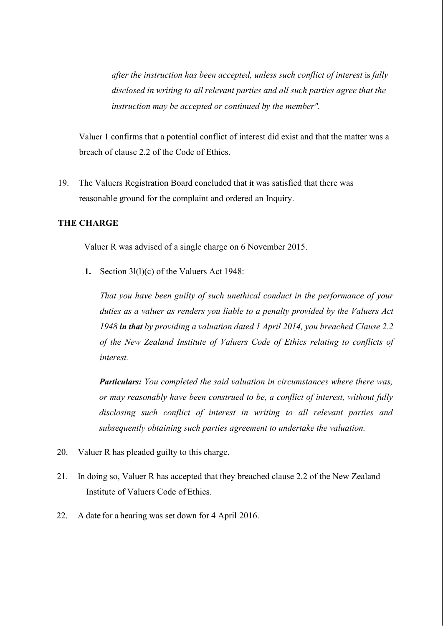*after the instruction has been accepted, unless such conflict of interest is fully disclosed in writing to all relevant parties and all such parties agree that the instruction may be accepted or continued by the member".*

Valuer 1 confirms that a potential conflict of interest did exist and that the matter was a breach of clause 2.2 of the Code of Ethics.

19. The Valuers Registration Board concluded that **it** was satisfied that there was reasonable ground for the complaint and ordered an Inquiry.

#### **THE CHARGE**

Valuer R was advised of a single charge on 6 November 2015.

**1.** Section 3l(l)(c) of the Valuers Act 1948:

*That you have been guilty of such unethical conduct in the performance of your duties as a valuer as renders you liable to a penalty provided by the Valuers Act 1948 in that by providing a valuation dated 1 April 2014, you breached Clause 2.2 of the New Zealand Institute of Valuers Code of Ethics relating to conflicts of interest.*

*Particulars: You completed the said valuation in circumstances where there was, or may reasonably have been construed to be, a conflict of interest, without fully disclosing such conflict of interest in writing to all relevant parties and subsequently obtaining such parties agreement to undertake the valuation.*

- 20. Valuer R has pleaded guilty to this charge.
- 21. In doing so, Valuer R has accepted that they breached clause 2.2 of the New Zealand Institute of Valuers Code of Ethics.
- 22. A date for a hearing was set down for 4 April 2016.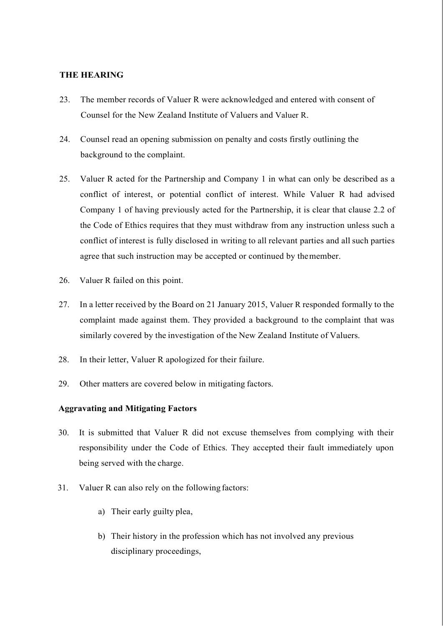## **THE HEARING**

- 23. The member records of Valuer R were acknowledged and entered with consent of Counsel for the New Zealand Institute of Valuers and Valuer R.
- 24. Counsel read an opening submission on penalty and costs firstly outlining the background to the complaint.
- 25. Valuer R acted for the Partnership and Company 1 in what can only be described as a conflict of interest, or potential conflict of interest. While Valuer R had advised Company 1 of having previously acted for the Partnership, it is clear that clause 2.2 of the Code of Ethics requires that they must withdraw from any instruction unless such a conflict of interest is fully disclosed in writing to all relevant parties and all such parties agree that such instruction may be accepted or continued by themember.
- 26. Valuer R failed on this point.
- 27. In a letter received by the Board on 21 January 2015, Valuer R responded formally to the complaint made against them. They provided a background to the complaint that was similarly covered by the investigation of the New Zealand Institute of Valuers.
- 28. In their letter, Valuer R apologized for their failure.
- 29. Other matters are covered below in mitigating factors.

### **Aggravating and Mitigating Factors**

- 30. It is submitted that Valuer R did not excuse themselves from complying with their responsibility under the Code of Ethics. They accepted their fault immediately upon being served with the charge.
- 31. Valuer R can also rely on the following factors:
	- a) Their early guilty plea,
	- b) Their history in the profession which has not involved any previous disciplinary proceedings,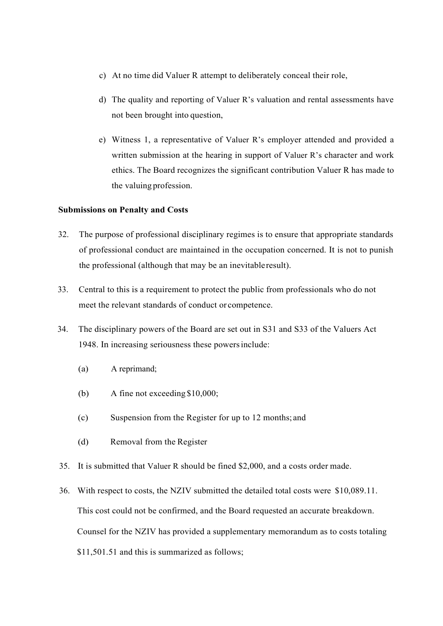- c) At no time did Valuer R attempt to deliberately conceal their role,
- d) The quality and reporting of Valuer R's valuation and rental assessments have not been brought into question,
- e) Witness 1, a representative of Valuer R's employer attended and provided a written submission at the hearing in support of Valuer R's character and work ethics. The Board recognizes the significant contribution Valuer R has made to the valuing profession.

#### **Submissions on Penalty and Costs**

- 32. The purpose of professional disciplinary regimes is to ensure that appropriate standards of professional conduct are maintained in the occupation concerned. It is not to punish the professional (although that may be an inevitableresult).
- 33. Central to this is a requirement to protect the public from professionals who do not meet the relevant standards of conduct or competence.
- 34. The disciplinary powers of the Board are set out in S31 and S33 of the Valuers Act 1948. In increasing seriousness these powersinclude:
	- (a) A reprimand;
	- (b) A fine not exceeding \$10,000;
	- (c) Suspension from the Register for up to 12 months; and
	- (d) Removal from the Register
- 35. It is submitted that Valuer R should be fined \$2,000, and a costs order made.
- 36. With respect to costs, the NZIV submitted the detailed total costs were \$10,089.11. This cost could not be confirmed, and the Board requested an accurate breakdown. Counsel for the NZIV has provided a supplementary memorandum as to costs totaling \$11,501.51 and this is summarized as follows;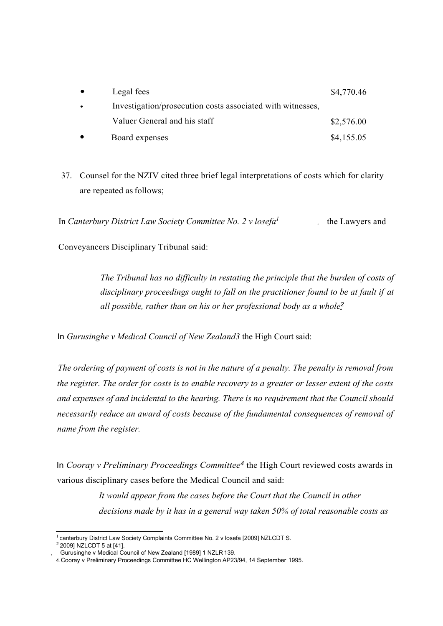| $\bullet$ | Legal fees                                                 | \$4,770.46 |
|-----------|------------------------------------------------------------|------------|
| $\bullet$ | Investigation/prosecution costs associated with witnesses, |            |
|           | Valuer General and his staff                               | \$2,576.00 |
| $\bullet$ | Board expenses                                             | \$4,155.05 |

37. Counsel for the NZIV cited three brief legal interpretations of costs which for clarity are repeated as follows;

In *Canterbury District Law Society Committee No. 2 v losefa<sup>1</sup> ,*

Conveyancers Disciplinary Tribunal said:

*• all possible, rather than on his or her professional body as a whole<sup>2</sup> The Tribunal has no difficulty in restating the principle that the burden of costs of disciplinary proceedings ought to fall on the practitioner found to be at fault if at* 

In *Gurusinghe v Medical Council of New Zealand3* the High Court said:

*The ordering of payment of costs is not in the nature of a penalty. The penalty is removal from the register. The order for costs is to enable recovery to a greater or lesser extent of the costs and expenses of and incidental to the hearing. There is no requirement that the Council should necessarily reduce an award of costs because of the fundamental consequences of removal of name from the register.*

In *Cooray v Preliminary Proceedings Committee<sup>4</sup>* the High Court reviewed costs awards in various disciplinary cases before the Medical Council and said:

> *It would appear from the cases before the Court that the Council in other decisions made by it has in a general way taken 50% of total reasonable costs as*

 $1$  canterbury District Law Society Complaints Committee No. 2 v losefa [2009] NZLCDT S.

 $22009$ ] NZLCDT 5 at [41].

<sup>,</sup> Gurusinghe v Medical Council of New Zealand [1989] 1 NZLR 139.

<sup>4.</sup> Cooray v Preliminary Proceedings Committee HC Wellington AP23/94, 14 September 1995.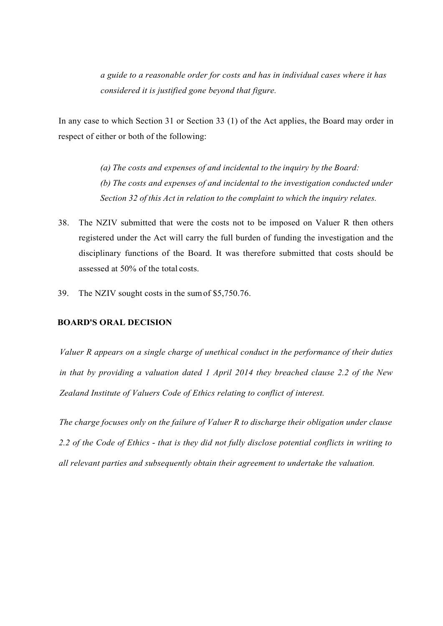*a guide to a reasonable order for costs and has in individual cases where it has considered it is justified gone beyond that figure.*

In any case to which Section 31 or Section 33 (1) of the Act applies, the Board may order in respect of either or both of the following:

> *(a) The costs and expenses of and incidental to the inquiry by the Board: (b) The costs and expenses of and incidental to the investigation conducted under Section 32 of this Act in relation to the complaint to which the inquiry relates.*

- 38. The NZIV submitted that were the costs not to be imposed on Valuer R then others registered under the Act will carry the full burden of funding the investigation and the disciplinary functions of the Board. It was therefore submitted that costs should be assessed at 50% of the total costs.
- 39. The NZIV sought costs in the sumof \$5,750.76.

#### **BOARD'S ORAL DECISION**

*Valuer R appears on a single charge of unethical conduct in the performance of their duties in that by providing a valuation dated 1 April 2014 they breached clause 2.2 of the New Zealand Institute of Valuers Code of Ethics relating to conflict of interest.*

*The charge focuses only on the failure of Valuer R to discharge their obligation under clause 2.2 of the Code of Ethics* - *that is they did not fully disclose potential conflicts in writing to all relevant parties and subsequently obtain their agreement to undertake the valuation.*